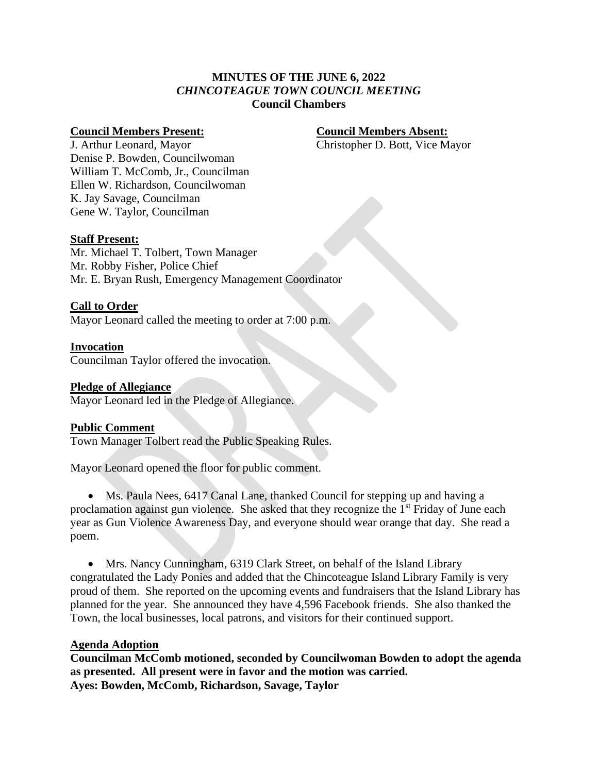## **MINUTES OF THE JUNE 6, 2022** *CHINCOTEAGUE TOWN COUNCIL MEETING* **Council Chambers**

### **Council Members Present: Council Members Absent:**

J. Arthur Leonard, Mayor Christopher D. Bott, Vice Mayor Denise P. Bowden, Councilwoman William T. McComb, Jr., Councilman Ellen W. Richardson, Councilwoman K. Jay Savage, Councilman Gene W. Taylor, Councilman

## **Staff Present:**

Mr. Michael T. Tolbert, Town Manager Mr. Robby Fisher, Police Chief Mr. E. Bryan Rush, Emergency Management Coordinator

## **Call to Order**

Mayor Leonard called the meeting to order at 7:00 p.m.

## **Invocation**

Councilman Taylor offered the invocation.

## **Pledge of Allegiance**

Mayor Leonard led in the Pledge of Allegiance.

## **Public Comment**

Town Manager Tolbert read the Public Speaking Rules.

Mayor Leonard opened the floor for public comment.

• Ms. Paula Nees, 6417 Canal Lane, thanked Council for stepping up and having a proclamation against gun violence. She asked that they recognize the  $1<sup>st</sup>$  Friday of June each year as Gun Violence Awareness Day, and everyone should wear orange that day. She read a poem.

• Mrs. Nancy Cunningham, 6319 Clark Street, on behalf of the Island Library congratulated the Lady Ponies and added that the Chincoteague Island Library Family is very proud of them. She reported on the upcoming events and fundraisers that the Island Library has planned for the year. She announced they have 4,596 Facebook friends. She also thanked the Town, the local businesses, local patrons, and visitors for their continued support.

## **Agenda Adoption**

**Councilman McComb motioned, seconded by Councilwoman Bowden to adopt the agenda as presented. All present were in favor and the motion was carried. Ayes: Bowden, McComb, Richardson, Savage, Taylor**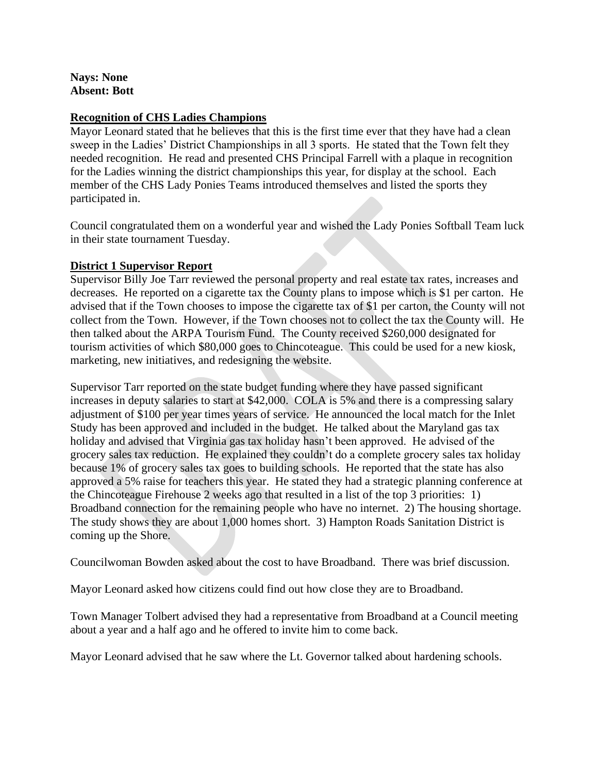## **Nays: None Absent: Bott**

## **Recognition of CHS Ladies Champions**

Mayor Leonard stated that he believes that this is the first time ever that they have had a clean sweep in the Ladies' District Championships in all 3 sports. He stated that the Town felt they needed recognition. He read and presented CHS Principal Farrell with a plaque in recognition for the Ladies winning the district championships this year, for display at the school. Each member of the CHS Lady Ponies Teams introduced themselves and listed the sports they participated in.

Council congratulated them on a wonderful year and wished the Lady Ponies Softball Team luck in their state tournament Tuesday.

## **District 1 Supervisor Report**

Supervisor Billy Joe Tarr reviewed the personal property and real estate tax rates, increases and decreases. He reported on a cigarette tax the County plans to impose which is \$1 per carton. He advised that if the Town chooses to impose the cigarette tax of \$1 per carton, the County will not collect from the Town. However, if the Town chooses not to collect the tax the County will. He then talked about the ARPA Tourism Fund. The County received \$260,000 designated for tourism activities of which \$80,000 goes to Chincoteague. This could be used for a new kiosk, marketing, new initiatives, and redesigning the website.

Supervisor Tarr reported on the state budget funding where they have passed significant increases in deputy salaries to start at \$42,000. COLA is 5% and there is a compressing salary adjustment of \$100 per year times years of service. He announced the local match for the Inlet Study has been approved and included in the budget. He talked about the Maryland gas tax holiday and advised that Virginia gas tax holiday hasn't been approved. He advised of the grocery sales tax reduction. He explained they couldn't do a complete grocery sales tax holiday because 1% of grocery sales tax goes to building schools. He reported that the state has also approved a 5% raise for teachers this year. He stated they had a strategic planning conference at the Chincoteague Firehouse 2 weeks ago that resulted in a list of the top 3 priorities: 1) Broadband connection for the remaining people who have no internet. 2) The housing shortage. The study shows they are about 1,000 homes short. 3) Hampton Roads Sanitation District is coming up the Shore.

Councilwoman Bowden asked about the cost to have Broadband. There was brief discussion.

Mayor Leonard asked how citizens could find out how close they are to Broadband.

Town Manager Tolbert advised they had a representative from Broadband at a Council meeting about a year and a half ago and he offered to invite him to come back.

Mayor Leonard advised that he saw where the Lt. Governor talked about hardening schools.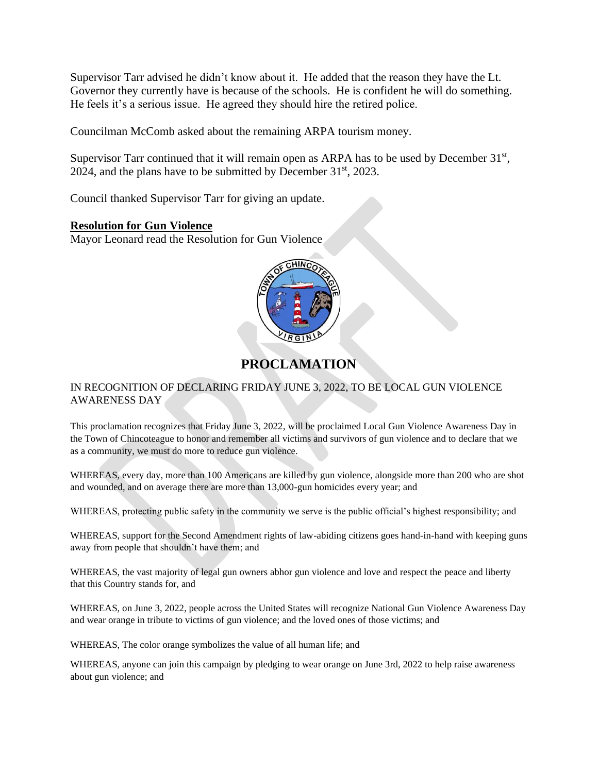Supervisor Tarr advised he didn't know about it. He added that the reason they have the Lt. Governor they currently have is because of the schools. He is confident he will do something. He feels it's a serious issue. He agreed they should hire the retired police.

Councilman McComb asked about the remaining ARPA tourism money.

Supervisor Tarr continued that it will remain open as ARPA has to be used by December  $31<sup>st</sup>$ , 2024, and the plans have to be submitted by December  $31<sup>st</sup>$ , 2023.

Council thanked Supervisor Tarr for giving an update.

## **Resolution for Gun Violence**

Mayor Leonard read the Resolution for Gun Violence



# **PROCLAMATION**

## IN RECOGNITION OF DECLARING FRIDAY JUNE 3, 2022, TO BE LOCAL GUN VIOLENCE AWARENESS DAY

This proclamation recognizes that Friday June 3, 2022, will be proclaimed Local Gun Violence Awareness Day in the Town of Chincoteague to honor and remember all victims and survivors of gun violence and to declare that we as a community, we must do more to reduce gun violence.

WHEREAS, every day, more than 100 Americans are killed by gun violence, alongside more than 200 who are shot and wounded, and on average there are more than 13,000-gun homicides every year; and

WHEREAS, protecting public safety in the community we serve is the public official's highest responsibility; and

WHEREAS, support for the Second Amendment rights of law-abiding citizens goes hand-in-hand with keeping guns away from people that shouldn't have them; and

WHEREAS, the vast majority of legal gun owners abhor gun violence and love and respect the peace and liberty that this Country stands for, and

WHEREAS, on June 3, 2022, people across the United States will recognize National Gun Violence Awareness Day and wear orange in tribute to victims of gun violence; and the loved ones of those victims; and

WHEREAS, The color orange symbolizes the value of all human life; and

WHEREAS, anyone can join this campaign by pledging to wear orange on June 3rd, 2022 to help raise awareness about gun violence; and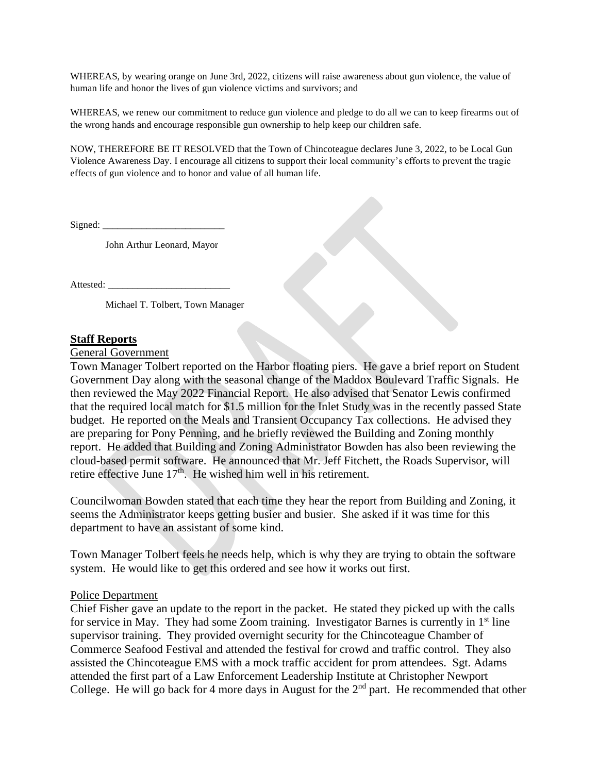WHEREAS, by wearing orange on June 3rd, 2022, citizens will raise awareness about gun violence, the value of human life and honor the lives of gun violence victims and survivors; and

WHEREAS, we renew our commitment to reduce gun violence and pledge to do all we can to keep firearms out of the wrong hands and encourage responsible gun ownership to help keep our children safe.

NOW, THEREFORE BE IT RESOLVED that the Town of Chincoteague declares June 3, 2022, to be Local Gun Violence Awareness Day. I encourage all citizens to support their local community's efforts to prevent the tragic effects of gun violence and to honor and value of all human life.

Signed:

John Arthur Leonard, Mayor

Attested:

Michael T. Tolbert, Town Manager

#### **Staff Reports**

General Government

Town Manager Tolbert reported on the Harbor floating piers. He gave a brief report on Student Government Day along with the seasonal change of the Maddox Boulevard Traffic Signals. He then reviewed the May 2022 Financial Report. He also advised that Senator Lewis confirmed that the required local match for \$1.5 million for the Inlet Study was in the recently passed State budget. He reported on the Meals and Transient Occupancy Tax collections. He advised they are preparing for Pony Penning, and he briefly reviewed the Building and Zoning monthly report. He added that Building and Zoning Administrator Bowden has also been reviewing the cloud-based permit software. He announced that Mr. Jeff Fitchett, the Roads Supervisor, will retire effective June  $17<sup>th</sup>$ . He wished him well in his retirement.

Councilwoman Bowden stated that each time they hear the report from Building and Zoning, it seems the Administrator keeps getting busier and busier. She asked if it was time for this department to have an assistant of some kind.

Town Manager Tolbert feels he needs help, which is why they are trying to obtain the software system. He would like to get this ordered and see how it works out first.

#### Police Department

Chief Fisher gave an update to the report in the packet. He stated they picked up with the calls for service in May. They had some Zoom training. Investigator Barnes is currently in  $1<sup>st</sup>$  line supervisor training. They provided overnight security for the Chincoteague Chamber of Commerce Seafood Festival and attended the festival for crowd and traffic control. They also assisted the Chincoteague EMS with a mock traffic accident for prom attendees. Sgt. Adams attended the first part of a Law Enforcement Leadership Institute at Christopher Newport College. He will go back for 4 more days in August for the  $2<sup>nd</sup>$  part. He recommended that other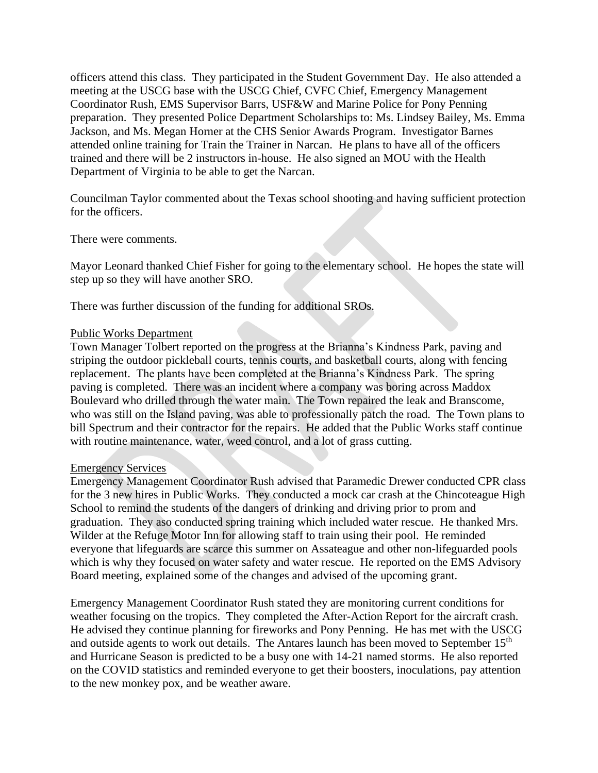officers attend this class. They participated in the Student Government Day. He also attended a meeting at the USCG base with the USCG Chief, CVFC Chief, Emergency Management Coordinator Rush, EMS Supervisor Barrs, USF&W and Marine Police for Pony Penning preparation. They presented Police Department Scholarships to: Ms. Lindsey Bailey, Ms. Emma Jackson, and Ms. Megan Horner at the CHS Senior Awards Program. Investigator Barnes attended online training for Train the Trainer in Narcan. He plans to have all of the officers trained and there will be 2 instructors in-house. He also signed an MOU with the Health Department of Virginia to be able to get the Narcan.

Councilman Taylor commented about the Texas school shooting and having sufficient protection for the officers.

There were comments.

Mayor Leonard thanked Chief Fisher for going to the elementary school. He hopes the state will step up so they will have another SRO.

There was further discussion of the funding for additional SROs.

#### Public Works Department

Town Manager Tolbert reported on the progress at the Brianna's Kindness Park, paving and striping the outdoor pickleball courts, tennis courts, and basketball courts, along with fencing replacement. The plants have been completed at the Brianna's Kindness Park. The spring paving is completed. There was an incident where a company was boring across Maddox Boulevard who drilled through the water main. The Town repaired the leak and Branscome, who was still on the Island paving, was able to professionally patch the road. The Town plans to bill Spectrum and their contractor for the repairs. He added that the Public Works staff continue with routine maintenance, water, weed control, and a lot of grass cutting.

#### Emergency Services

Emergency Management Coordinator Rush advised that Paramedic Drewer conducted CPR class for the 3 new hires in Public Works. They conducted a mock car crash at the Chincoteague High School to remind the students of the dangers of drinking and driving prior to prom and graduation. They aso conducted spring training which included water rescue. He thanked Mrs. Wilder at the Refuge Motor Inn for allowing staff to train using their pool. He reminded everyone that lifeguards are scarce this summer on Assateague and other non-lifeguarded pools which is why they focused on water safety and water rescue. He reported on the EMS Advisory Board meeting, explained some of the changes and advised of the upcoming grant.

Emergency Management Coordinator Rush stated they are monitoring current conditions for weather focusing on the tropics. They completed the After-Action Report for the aircraft crash. He advised they continue planning for fireworks and Pony Penning. He has met with the USCG and outside agents to work out details. The Antares launch has been moved to September 15<sup>th</sup> and Hurricane Season is predicted to be a busy one with 14-21 named storms. He also reported on the COVID statistics and reminded everyone to get their boosters, inoculations, pay attention to the new monkey pox, and be weather aware.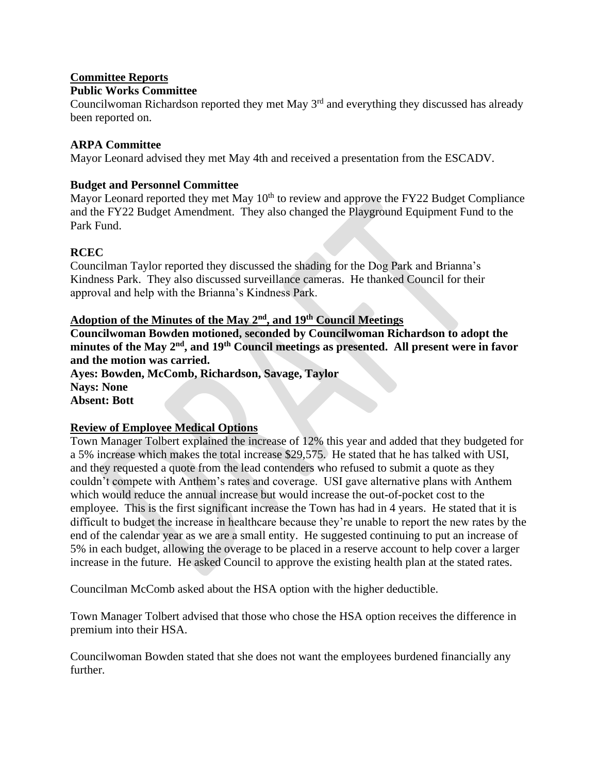## **Committee Reports**

## **Public Works Committee**

Councilwoman Richardson reported they met May  $3<sup>rd</sup>$  and everything they discussed has already been reported on.

## **ARPA Committee**

Mayor Leonard advised they met May 4th and received a presentation from the ESCADV.

## **Budget and Personnel Committee**

Mayor Leonard reported they met May  $10<sup>th</sup>$  to review and approve the FY22 Budget Compliance and the FY22 Budget Amendment. They also changed the Playground Equipment Fund to the Park Fund.

## **RCEC**

Councilman Taylor reported they discussed the shading for the Dog Park and Brianna's Kindness Park. They also discussed surveillance cameras. He thanked Council for their approval and help with the Brianna's Kindness Park.

## **Adoption of the Minutes of the May 2nd, and 19th Council Meetings**

**Councilwoman Bowden motioned, seconded by Councilwoman Richardson to adopt the minutes of the May 2nd, and 19th Council meetings as presented. All present were in favor and the motion was carried.**

**Ayes: Bowden, McComb, Richardson, Savage, Taylor Nays: None Absent: Bott**

## **Review of Employee Medical Options**

Town Manager Tolbert explained the increase of 12% this year and added that they budgeted for a 5% increase which makes the total increase \$29,575. He stated that he has talked with USI, and they requested a quote from the lead contenders who refused to submit a quote as they couldn't compete with Anthem's rates and coverage. USI gave alternative plans with Anthem which would reduce the annual increase but would increase the out-of-pocket cost to the employee. This is the first significant increase the Town has had in 4 years. He stated that it is difficult to budget the increase in healthcare because they're unable to report the new rates by the end of the calendar year as we are a small entity. He suggested continuing to put an increase of 5% in each budget, allowing the overage to be placed in a reserve account to help cover a larger increase in the future. He asked Council to approve the existing health plan at the stated rates.

Councilman McComb asked about the HSA option with the higher deductible.

Town Manager Tolbert advised that those who chose the HSA option receives the difference in premium into their HSA.

Councilwoman Bowden stated that she does not want the employees burdened financially any further.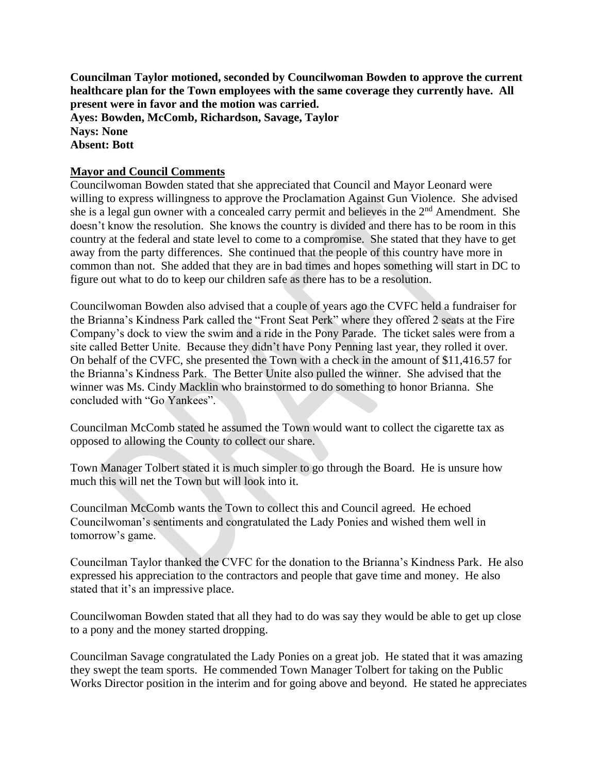**Councilman Taylor motioned, seconded by Councilwoman Bowden to approve the current healthcare plan for the Town employees with the same coverage they currently have. All present were in favor and the motion was carried. Ayes: Bowden, McComb, Richardson, Savage, Taylor Nays: None Absent: Bott**

## **Mayor and Council Comments**

Councilwoman Bowden stated that she appreciated that Council and Mayor Leonard were willing to express willingness to approve the Proclamation Against Gun Violence. She advised she is a legal gun owner with a concealed carry permit and believes in the  $2<sup>nd</sup>$  Amendment. She doesn't know the resolution. She knows the country is divided and there has to be room in this country at the federal and state level to come to a compromise. She stated that they have to get away from the party differences. She continued that the people of this country have more in common than not. She added that they are in bad times and hopes something will start in DC to figure out what to do to keep our children safe as there has to be a resolution.

Councilwoman Bowden also advised that a couple of years ago the CVFC held a fundraiser for the Brianna's Kindness Park called the "Front Seat Perk" where they offered 2 seats at the Fire Company's dock to view the swim and a ride in the Pony Parade. The ticket sales were from a site called Better Unite. Because they didn't have Pony Penning last year, they rolled it over. On behalf of the CVFC, she presented the Town with a check in the amount of \$11,416.57 for the Brianna's Kindness Park. The Better Unite also pulled the winner. She advised that the winner was Ms. Cindy Macklin who brainstormed to do something to honor Brianna. She concluded with "Go Yankees".

Councilman McComb stated he assumed the Town would want to collect the cigarette tax as opposed to allowing the County to collect our share.

Town Manager Tolbert stated it is much simpler to go through the Board. He is unsure how much this will net the Town but will look into it.

Councilman McComb wants the Town to collect this and Council agreed. He echoed Councilwoman's sentiments and congratulated the Lady Ponies and wished them well in tomorrow's game.

Councilman Taylor thanked the CVFC for the donation to the Brianna's Kindness Park. He also expressed his appreciation to the contractors and people that gave time and money. He also stated that it's an impressive place.

Councilwoman Bowden stated that all they had to do was say they would be able to get up close to a pony and the money started dropping.

Councilman Savage congratulated the Lady Ponies on a great job. He stated that it was amazing they swept the team sports. He commended Town Manager Tolbert for taking on the Public Works Director position in the interim and for going above and beyond. He stated he appreciates